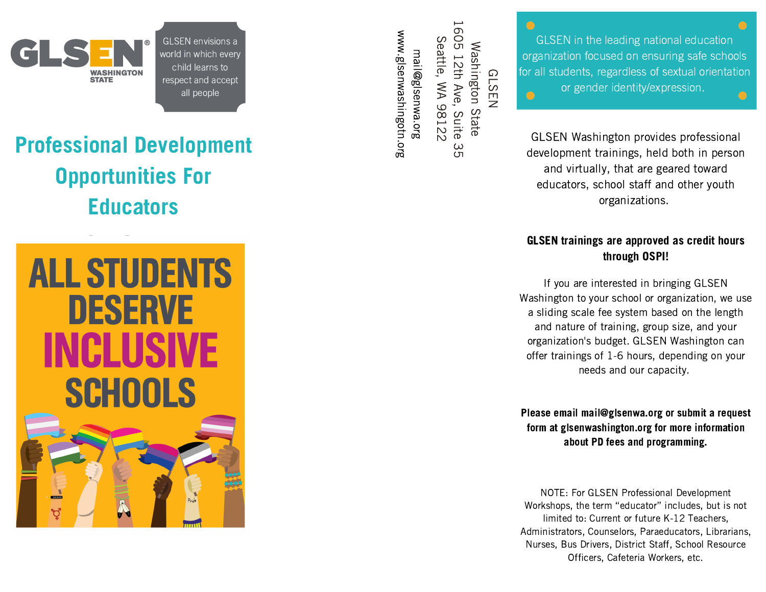

 envisions a in envisions a<br>In which every envisions<br>which eve<br>learns to envisions a<br>which every<br>learns to<br>and accept envision<br>which e<br>learns i<br>and acc<br>people

## Professional Development Opportunities For **Educators**



S e attle,  $\lessgtr$ م 812 2  $\exists$ ail@ gls e n w a.org w w w.glsenwashingotn.org

 $\omega$  $\tilde{\sigma}$ 

G L S E N W a s hin gto n State 16 ូ<br>ច 12th A v e, ഗ uite<br>S

GLSEN Washington provides professional  $\epsilon$  or gender identity/expression. **in the leading national education focused on ensuring safe schools**<br>focused on ensuring safe schools **all students, regardless of C**<br>all students, regardless of sextual orientation<br>all students, regardless of sextual orientation in the leading national edum<br>on focused on ensuring safe<br>ents, regardless of sextual o<br>gender identity/expression.

virtual<br>Virtually, that are profession<br>Virtually, that are geared toward<br>Virtually, that are geared toward ington provide development trainings, held both in person and virtually, that are geared toward<br>educators, school staff and other youth organizations.

### GLSEN trainings are approved as credit hours through OSPI! **N trainings are approved as credit homogle in through OSPI!**<br>you are interested in bringing GLSEN **GLSEN trainings are approved as credit hours**<br>**through OSPI!**<br>If you are interested in bringing GLSEN<br>Washington to your school or organization, we use a

slightly and approved as significant means<br>through OSPI!<br>If you are interested in bringing GLSEN<br>shington to your school or organization, we us<br>sliding scale fee system based on the length modgh oor i.<br>
you are interested in bringing GLSEN<br>
gton to your school or organization, we use<br>
ing scale fee system based on the lengt<br>
nature of training, group size, and your If you are interested in bringing GLSEN<br>
'ashington to your school or organization, we us<br>
a sliding scale fee system based on the length<br>
and nature of training, group size, and your<br>
organization's budget. GLSEN Washingt If you are interested in bringing GLSEN<br>Washington to your school or organization, we use meton to your school or organization, we us<br>ding scale fee system based on the length<br>d nature of training, group size, and your<br>nization's budget. GLSEN Washington can<br>trainings of 1-6 hours, depending on your neer<br>nele fe and nature of training, group size, and your<br>organization's budget. GLSEN Washington can<br>offer trainings of 1-6 hours, depending on your<br>needs and our capacity.

Please email mail@glsenwa.org or submit a request form at glsenwashington.org for more information NOTE:about PD fees and programming. Form at gloomkamingtomerg for more information<br>about PD fees and programming.<br>NOTE: For GLSEN Professional Development W<sub>orkshop</sub>s, 201

out FD lees and programming.<br>For GLSEN Professional Development<br>the term "educator" includes, but is not For GLSEN Professional Development<br>the term "educator" includes, but is<br>to: Current or future K-12 Teachers, GLSEN Professional Development<br>e term "educator" includes, but is not<br>Current or future K-12 Teachers,<br>Counselors, Paraeducators, Librarians, E: For GLSEN Professional Development<br>pps, the term "educator" includes, but is not<br>ted to: Current or future K-12 Teachers,<br>rators, Counselors, Paraeducators, Librarians<br>Bus Drivers. District Staff. School Resource For albelly Protessional Bevers,<br>s, the term "educator" includes,<br>d to: Current or future K-12 Tead<br>cors, Counselors, Paraeducators,<br>us Drivers, District Staff, School<br>Officers. Cafeteria Workers, etc.